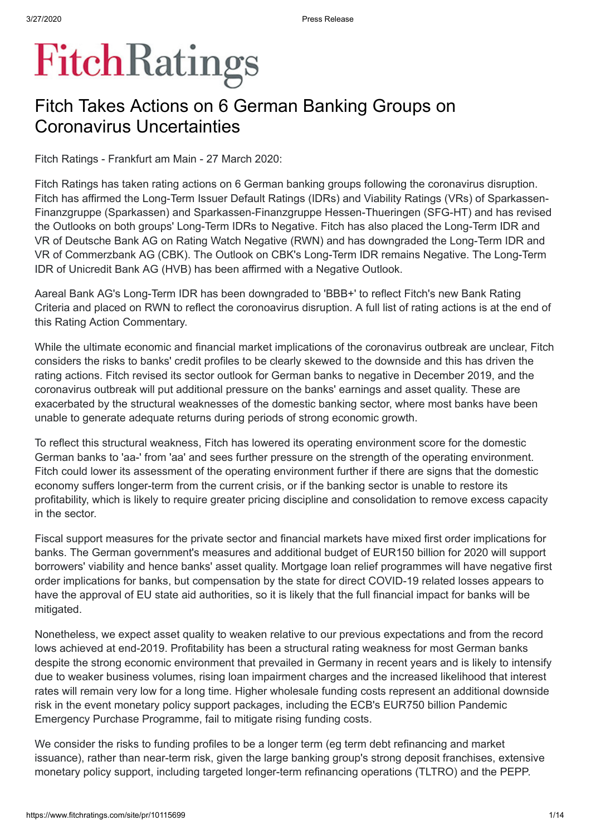# **FitchRatings**

## Fitch Takes Actions on 6 German Banking Groups on Coronavirus Uncertainties

Fitch Ratings - Frankfurt am Main - 27 March 2020:

Fitch Ratings has taken rating actions on 6 German banking groups following the coronavirus disruption. Fitch has affirmed the Long-Term Issuer Default Ratings (IDRs) and Viability Ratings (VRs) of Sparkassen-Finanzgruppe (Sparkassen) and Sparkassen-Finanzgruppe Hessen-Thueringen (SFG-HT) and has revised the Outlooks on both groups' Long-Term IDRs to Negative. Fitch has also placed the Long-Term IDR and VR of Deutsche Bank AG on Rating Watch Negative (RWN) and has downgraded the Long-Term IDR and VR of Commerzbank AG (CBK). The Outlook on CBK's Long-Term IDR remains Negative. The Long-Term IDR of Unicredit Bank AG (HVB) has been affirmed with a Negative Outlook.

Aareal Bank AG's Long-Term IDR has been downgraded to 'BBB+' to reflect Fitch's new Bank Rating Criteria and placed on RWN to reflect the coronoavirus disruption. A full list of rating actions is at the end of this Rating Action Commentary.

While the ultimate economic and financial market implications of the coronavirus outbreak are unclear, Fitch considers the risks to banks' credit profiles to be clearly skewed to the downside and this has driven the rating actions. Fitch revised its sector outlook for German banks to negative in December 2019, and the coronavirus outbreak will put additional pressure on the banks' earnings and asset quality. These are exacerbated by the structural weaknesses of the domestic banking sector, where most banks have been unable to generate adequate returns during periods of strong economic growth.

To reflect this structural weakness, Fitch has lowered its operating environment score for the domestic German banks to 'aa-' from 'aa' and sees further pressure on the strength of the operating environment. Fitch could lower its assessment of the operating environment further if there are signs that the domestic economy suffers longer-term from the current crisis, or if the banking sector is unable to restore its profitability, which is likely to require greater pricing discipline and consolidation to remove excess capacity in the sector.

Fiscal support measures for the private sector and financial markets have mixed first order implications for banks. The German government's measures and additional budget of EUR150 billion for 2020 will support borrowers' viability and hence banks' asset quality. Mortgage loan relief programmes will have negative first order implications for banks, but compensation by the state for direct COVID-19 related losses appears to have the approval of EU state aid authorities, so it is likely that the full financial impact for banks will be mitigated.

Nonetheless, we expect asset quality to weaken relative to our previous expectations and from the record lows achieved at end-2019. Profitability has been a structural rating weakness for most German banks despite the strong economic environment that prevailed in Germany in recent years and is likely to intensify due to weaker business volumes, rising loan impairment charges and the increased likelihood that interest rates will remain very low for a long time. Higher wholesale funding costs represent an additional downside risk in the event monetary policy support packages, including the ECB's EUR750 billion Pandemic Emergency Purchase Programme, fail to mitigate rising funding costs.

We consider the risks to funding profiles to be a longer term (eg term debt refinancing and market issuance), rather than near-term risk, given the large banking group's strong deposit franchises, extensive monetary policy support, including targeted longer-term refinancing operations (TLTRO) and the PEPP.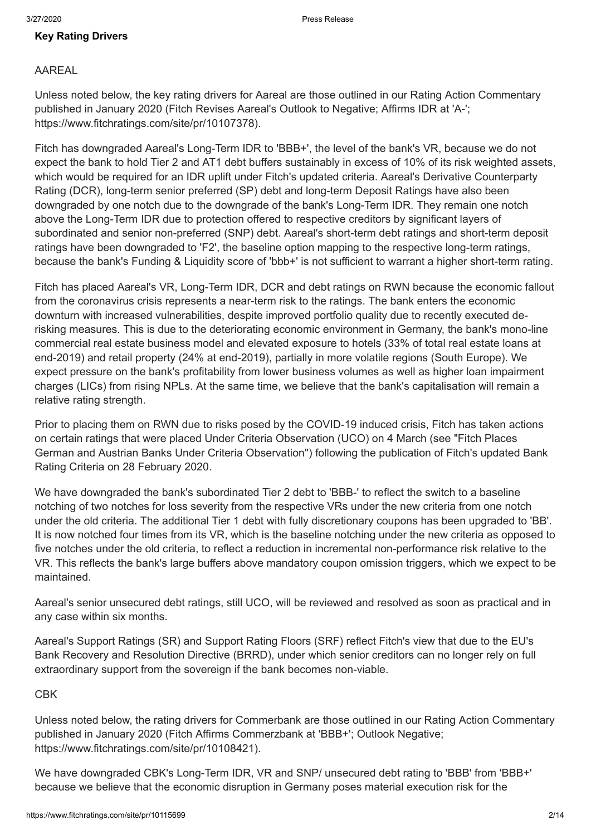#### **Key Rating Drivers**

#### AAREAL

Unless noted below, the key rating drivers for Aareal are those outlined in our Rating Action Commentary published in January 2020 (Fitch Revises Aareal's Outlook to Negative; Affirms IDR at 'A-'; <https://www.fitchratings.com/site/pr/10107378>).

Fitch has downgraded Aareal's Long-Term IDR to 'BBB+', the level of the bank's VR, because we do not expect the bank to hold Tier 2 and AT1 debt buffers sustainably in excess of 10% of its risk weighted assets, which would be required for an IDR uplift under Fitch's updated criteria. Aareal's Derivative Counterparty Rating (DCR), long-term senior preferred (SP) debt and long-term Deposit Ratings have also been downgraded by one notch due to the downgrade of the bank's Long-Term IDR. They remain one notch above the Long-Term IDR due to protection offered to respective creditors by significant layers of subordinated and senior non-preferred (SNP) debt. Aareal's short-term debt ratings and short-term deposit ratings have been downgraded to 'F2', the baseline option mapping to the respective long-term ratings, because the bank's Funding & Liquidity score of 'bbb+' is not sufficient to warrant a higher short-term rating.

Fitch has placed Aareal's VR, Long-Term IDR, DCR and debt ratings on RWN because the economic fallout from the coronavirus crisis represents a near-term risk to the ratings. The bank enters the economic downturn with increased vulnerabilities, despite improved portfolio quality due to recently executed derisking measures. This is due to the deteriorating economic environment in Germany, the bank's mono-line commercial real estate business model and elevated exposure to hotels (33% of total real estate loans at end-2019) and retail property (24% at end-2019), partially in more volatile regions (South Europe). We expect pressure on the bank's profitability from lower business volumes as well as higher loan impairment charges (LICs) from rising NPLs. At the same time, we believe that the bank's capitalisation will remain a relative rating strength.

Prior to placing them on RWN due to risks posed by the COVID-19 induced crisis, Fitch has taken actions on certain ratings that were placed Under Criteria Observation (UCO) on 4 March (see "Fitch Places German and Austrian Banks Under Criteria Observation") following the publication of Fitch's updated Bank Rating Criteria on 28 February 2020.

We have downgraded the bank's subordinated Tier 2 debt to 'BBB-' to reflect the switch to a baseline notching of two notches for loss severity from the respective VRs under the new criteria from one notch under the old criteria. The additional Tier 1 debt with fully discretionary coupons has been upgraded to 'BB'. It is now notched four times from its VR, which is the baseline notching under the new criteria as opposed to five notches under the old criteria, to reflect a reduction in incremental non-performance risk relative to the VR. This reflects the bank's large buffers above mandatory coupon omission triggers, which we expect to be maintained.

Aareal's senior unsecured debt ratings, still UCO, will be reviewed and resolved as soon as practical and in any case within six months.

Aareal's Support Ratings (SR) and Support Rating Floors (SRF) reflect Fitch's view that due to the EU's Bank Recovery and Resolution Directive (BRRD), under which senior creditors can no longer rely on full extraordinary support from the sovereign if the bank becomes non-viable.

#### **C<sub>BK</sub>**

Unless noted below, the rating drivers for Commerbank are those outlined in our Rating Action Commentary published in January 2020 (Fitch Affirms Commerzbank at 'BBB+'; Outlook Negative; <https://www.fitchratings.com/site/pr/10108421>).

We have downgraded CBK's Long-Term IDR, VR and SNP/ unsecured debt rating to 'BBB' from 'BBB+' because we believe that the economic disruption in Germany poses material execution risk for the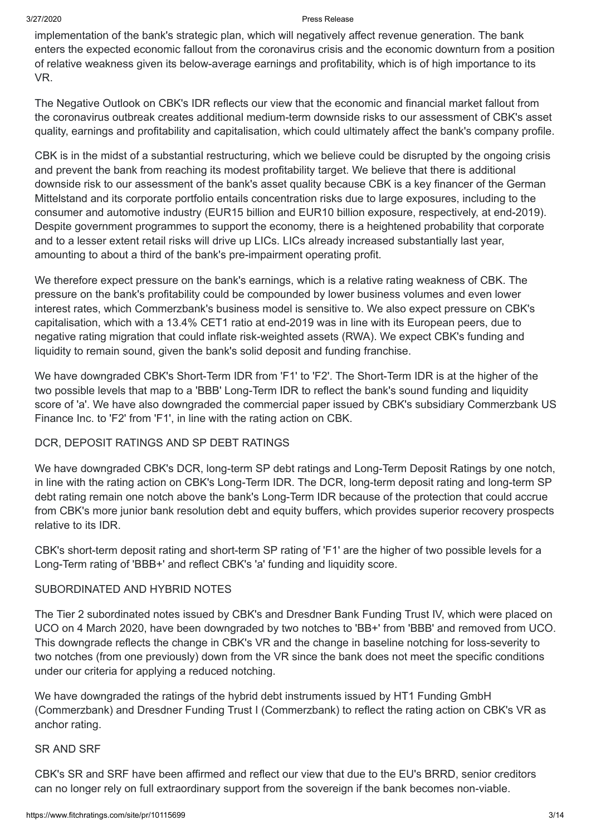implementation of the bank's strategic plan, which will negatively affect revenue generation. The bank enters the expected economic fallout from the coronavirus crisis and the economic downturn from a position of relative weakness given its below-average earnings and profitability, which is of high importance to its VR.

The Negative Outlook on CBK's IDR reflects our view that the economic and financial market fallout from the coronavirus outbreak creates additional medium-term downside risks to our assessment of CBK's asset quality, earnings and profitability and capitalisation, which could ultimately affect the bank's company profile.

CBK is in the midst of a substantial restructuring, which we believe could be disrupted by the ongoing crisis and prevent the bank from reaching its modest profitability target. We believe that there is additional downside risk to our assessment of the bank's asset quality because CBK is a key financer of the German Mittelstand and its corporate portfolio entails concentration risks due to large exposures, including to the consumer and automotive industry (EUR15 billion and EUR10 billion exposure, respectively, at end-2019). Despite government programmes to support the economy, there is a heightened probability that corporate and to a lesser extent retail risks will drive up LICs. LICs already increased substantially last year, amounting to about a third of the bank's pre-impairment operating profit.

We therefore expect pressure on the bank's earnings, which is a relative rating weakness of CBK. The pressure on the bank's profitability could be compounded by lower business volumes and even lower interest rates, which Commerzbank's business model is sensitive to. We also expect pressure on CBK's capitalisation, which with a 13.4% CET1 ratio at end-2019 was in line with its European peers, due to negative rating migration that could inflate risk-weighted assets (RWA). We expect CBK's funding and liquidity to remain sound, given the bank's solid deposit and funding franchise.

We have downgraded CBK's Short-Term IDR from 'F1' to 'F2'. The Short-Term IDR is at the higher of the two possible levels that map to a 'BBB' Long-Term IDR to reflect the bank's sound funding and liquidity score of 'a'. We have also downgraded the commercial paper issued by CBK's subsidiary Commerzbank US Finance Inc. to 'F2' from 'F1', in line with the rating action on CBK.

#### DCR, DEPOSIT RATINGS AND SP DEBT RATINGS

We have downgraded CBK's DCR, long-term SP debt ratings and Long-Term Deposit Ratings by one notch, in line with the rating action on CBK's Long-Term IDR. The DCR, long-term deposit rating and long-term SP debt rating remain one notch above the bank's Long-Term IDR because of the protection that could accrue from CBK's more junior bank resolution debt and equity buffers, which provides superior recovery prospects relative to its IDR.

CBK's short-term deposit rating and short-term SP rating of 'F1' are the higher of two possible levels for a Long-Term rating of 'BBB+' and reflect CBK's 'a' funding and liquidity score.

#### SUBORDINATED AND HYBRID NOTES

The Tier 2 subordinated notes issued by CBK's and Dresdner Bank Funding Trust IV, which were placed on UCO on 4 March 2020, have been downgraded by two notches to 'BB+' from 'BBB' and removed from UCO. This downgrade reflects the change in CBK's VR and the change in baseline notching for loss-severity to two notches (from one previously) down from the VR since the bank does not meet the specific conditions under our criteria for applying a reduced notching.

We have downgraded the ratings of the hybrid debt instruments issued by HT1 Funding GmbH (Commerzbank) and Dresdner Funding Trust I (Commerzbank) to reflect the rating action on CBK's VR as anchor rating.

#### SR AND SRF

CBK's SR and SRF have been affirmed and reflect our view that due to the EU's BRRD, senior creditors can no longer rely on full extraordinary support from the sovereign if the bank becomes non-viable.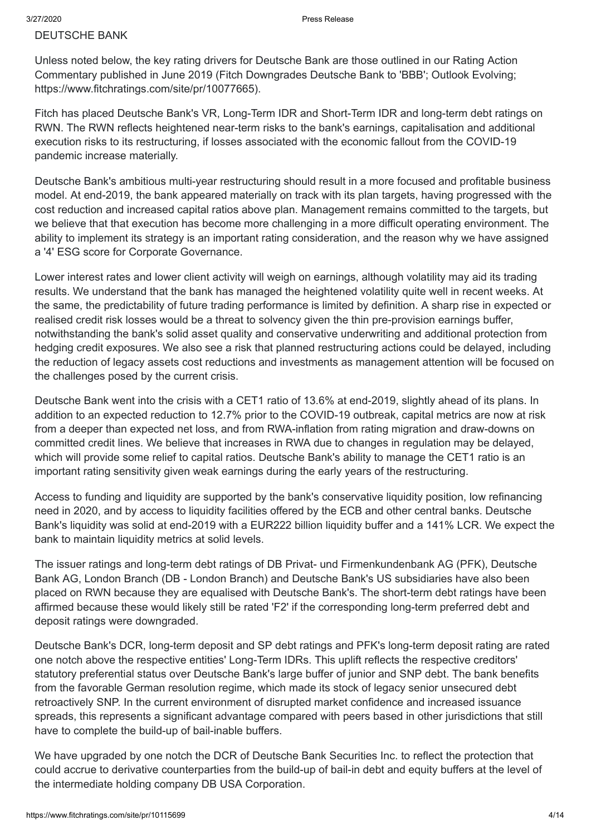#### DEUTSCHE BANK

Unless noted below, the key rating drivers for Deutsche Bank are those outlined in our Rating Action Commentary published in June 2019 (Fitch Downgrades Deutsche Bank to 'BBB'; Outlook Evolving; <https://www.fitchratings.com/site/pr/10077665>).

Fitch has placed Deutsche Bank's VR, Long-Term IDR and Short-Term IDR and long-term debt ratings on RWN. The RWN reflects heightened near-term risks to the bank's earnings, capitalisation and additional execution risks to its restructuring, if losses associated with the economic fallout from the COVID-19 pandemic increase materially.

Deutsche Bank's ambitious multi-year restructuring should result in a more focused and profitable business model. At end-2019, the bank appeared materially on track with its plan targets, having progressed with the cost reduction and increased capital ratios above plan. Management remains committed to the targets, but we believe that that execution has become more challenging in a more difficult operating environment. The ability to implement its strategy is an important rating consideration, and the reason why we have assigned a '4' ESG score for Corporate Governance.

Lower interest rates and lower client activity will weigh on earnings, although volatility may aid its trading results. We understand that the bank has managed the heightened volatility quite well in recent weeks. At the same, the predictability of future trading performance is limited by definition. A sharp rise in expected or realised credit risk losses would be a threat to solvency given the thin pre-provision earnings buffer, notwithstanding the bank's solid asset quality and conservative underwriting and additional protection from hedging credit exposures. We also see a risk that planned restructuring actions could be delayed, including the reduction of legacy assets cost reductions and investments as management attention will be focused on the challenges posed by the current crisis.

Deutsche Bank went into the crisis with a CET1 ratio of 13.6% at end-2019, slightly ahead of its plans. In addition to an expected reduction to 12.7% prior to the COVID-19 outbreak, capital metrics are now at risk from a deeper than expected net loss, and from RWA-inflation from rating migration and draw-downs on committed credit lines. We believe that increases in RWA due to changes in regulation may be delayed, which will provide some relief to capital ratios. Deutsche Bank's ability to manage the CET1 ratio is an important rating sensitivity given weak earnings during the early years of the restructuring.

Access to funding and liquidity are supported by the bank's conservative liquidity position, low refinancing need in 2020, and by access to liquidity facilities offered by the ECB and other central banks. Deutsche Bank's liquidity was solid at end-2019 with a EUR222 billion liquidity buffer and a 141% LCR. We expect the bank to maintain liquidity metrics at solid levels.

The issuer ratings and long-term debt ratings of DB Privat- und Firmenkundenbank AG (PFK), Deutsche Bank AG, London Branch (DB - London Branch) and Deutsche Bank's US subsidiaries have also been placed on RWN because they are equalised with Deutsche Bank's. The short-term debt ratings have been affirmed because these would likely still be rated 'F2' if the corresponding long-term preferred debt and deposit ratings were downgraded.

Deutsche Bank's DCR, long-term deposit and SP debt ratings and PFK's long-term deposit rating are rated one notch above the respective entities' Long-Term IDRs. This uplift reflects the respective creditors' statutory preferential status over Deutsche Bank's large buffer of junior and SNP debt. The bank benefits from the favorable German resolution regime, which made its stock of legacy senior unsecured debt retroactively SNP. In the current environment of disrupted market confidence and increased issuance spreads, this represents a significant advantage compared with peers based in other jurisdictions that still have to complete the build-up of bail-inable buffers.

We have upgraded by one notch the DCR of Deutsche Bank Securities Inc. to reflect the protection that could accrue to derivative counterparties from the build-up of bail-in debt and equity buffers at the level of the intermediate holding company DB USA Corporation.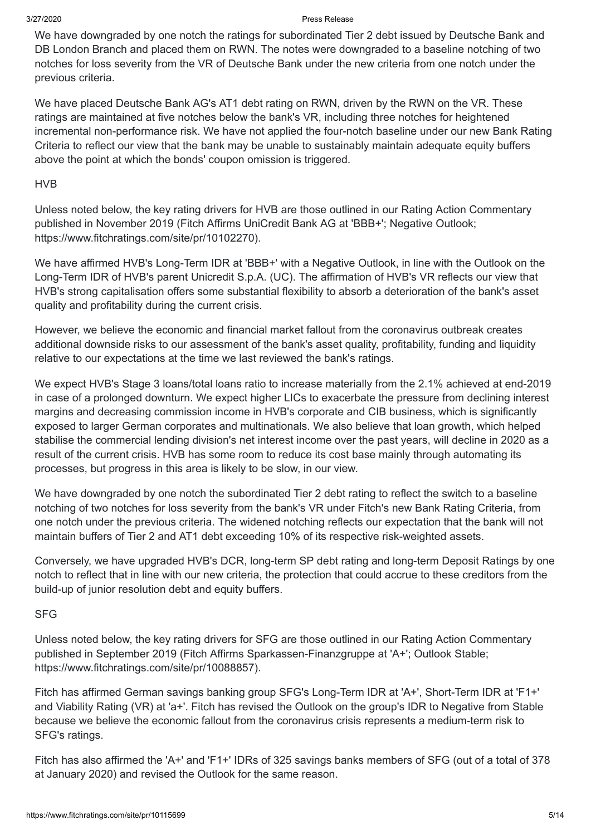We have downgraded by one notch the ratings for subordinated Tier 2 debt issued by Deutsche Bank and DB London Branch and placed them on RWN. The notes were downgraded to a baseline notching of two notches for loss severity from the VR of Deutsche Bank under the new criteria from one notch under the previous criteria.

We have placed Deutsche Bank AG's AT1 debt rating on RWN, driven by the RWN on the VR. These ratings are maintained at five notches below the bank's VR, including three notches for heightened incremental non-performance risk. We have not applied the four-notch baseline under our new Bank Rating Criteria to reflect our view that the bank may be unable to sustainably maintain adequate equity buffers above the point at which the bonds' coupon omission is triggered.

#### HVB

Unless noted below, the key rating drivers for HVB are those outlined in our Rating Action Commentary published in November 2019 (Fitch Affirms UniCredit Bank AG at 'BBB+'; Negative Outlook; <https://www.fitchratings.com/site/pr/10102270>).

We have affirmed HVB's Long-Term IDR at 'BBB+' with a Negative Outlook, in line with the Outlook on the Long-Term IDR of HVB's parent Unicredit S.p.A. (UC). The affirmation of HVB's VR reflects our view that HVB's strong capitalisation offers some substantial flexibility to absorb a deterioration of the bank's asset quality and profitability during the current crisis.

However, we believe the economic and financial market fallout from the coronavirus outbreak creates additional downside risks to our assessment of the bank's asset quality, profitability, funding and liquidity relative to our expectations at the time we last reviewed the bank's ratings.

We expect HVB's Stage 3 loans/total loans ratio to increase materially from the 2.1% achieved at end-2019 in case of a prolonged downturn. We expect higher LICs to exacerbate the pressure from declining interest margins and decreasing commission income in HVB's corporate and CIB business, which is significantly exposed to larger German corporates and multinationals. We also believe that loan growth, which helped stabilise the commercial lending division's net interest income over the past years, will decline in 2020 as a result of the current crisis. HVB has some room to reduce its cost base mainly through automating its processes, but progress in this area is likely to be slow, in our view.

We have downgraded by one notch the subordinated Tier 2 debt rating to reflect the switch to a baseline notching of two notches for loss severity from the bank's VR under Fitch's new Bank Rating Criteria, from one notch under the previous criteria. The widened notching reflects our expectation that the bank will not maintain buffers of Tier 2 and AT1 debt exceeding 10% of its respective risk-weighted assets.

Conversely, we have upgraded HVB's DCR, long-term SP debt rating and long-term Deposit Ratings by one notch to reflect that in line with our new criteria, the protection that could accrue to these creditors from the build-up of junior resolution debt and equity buffers.

#### SFG

Unless noted below, the key rating drivers for SFG are those outlined in our Rating Action Commentary published in September 2019 (Fitch Affirms Sparkassen-Finanzgruppe at 'A+'; Outlook Stable; <https://www.fitchratings.com/site/pr/10088857>).

Fitch has affirmed German savings banking group SFG's Long-Term IDR at 'A+', Short-Term IDR at 'F1+' and Viability Rating (VR) at 'a+'. Fitch has revised the Outlook on the group's IDR to Negative from Stable because we believe the economic fallout from the coronavirus crisis represents a medium-term risk to SFG's ratings.

Fitch has also affirmed the 'A+' and 'F1+' IDRs of 325 savings banks members of SFG (out of a total of 378 at January 2020) and revised the Outlook for the same reason.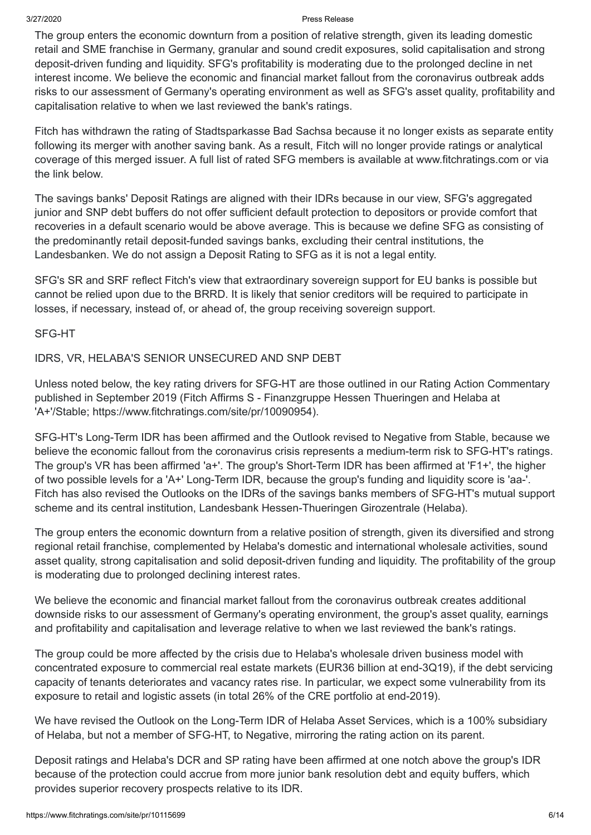The group enters the economic downturn from a position of relative strength, given its leading domestic retail and SME franchise in Germany, granular and sound credit exposures, solid capitalisation and strong deposit-driven funding and liquidity. SFG's profitability is moderating due to the prolonged decline in net interest income. We believe the economic and financial market fallout from the coronavirus outbreak adds risks to our assessment of Germany's operating environment as well as SFG's asset quality, profitability and capitalisation relative to when we last reviewed the bank's ratings.

Fitch has withdrawn the rating of Stadtsparkasse Bad Sachsa because it no longer exists as separate entity following its merger with another saving bank. As a result, Fitch will no longer provide ratings or analytical coverage of this merged issuer. A full list of rated SFG members is available at [www.fitchratings.com](https://www.fitchratings.com/) or via the link below.

The savings banks' Deposit Ratings are aligned with their IDRs because in our view, SFG's aggregated junior and SNP debt buffers do not offer sufficient default protection to depositors or provide comfort that recoveries in a default scenario would be above average. This is because we define SFG as consisting of the predominantly retail deposit-funded savings banks, excluding their central institutions, the Landesbanken. We do not assign a Deposit Rating to SFG as it is not a legal entity.

SFG's SR and SRF reflect Fitch's view that extraordinary sovereign support for EU banks is possible but cannot be relied upon due to the BRRD. It is likely that senior creditors will be required to participate in losses, if necessary, instead of, or ahead of, the group receiving sovereign support.

#### SFG-HT

#### IDRS, VR, HELABA'S SENIOR UNSECURED AND SNP DEBT

Unless noted below, the key rating drivers for SFG-HT are those outlined in our Rating Action Commentary published in September 2019 (Fitch Affirms S - Finanzgruppe Hessen Thueringen and Helaba at 'A+'/Stable; [https://www.fitchratings.com/site/pr/10090954\)](https://www.fitchratings.com/site/pr/10090954).

SFG-HT's Long-Term IDR has been affirmed and the Outlook revised to Negative from Stable, because we believe the economic fallout from the coronavirus crisis represents a medium-term risk to SFG-HT's ratings. The group's VR has been affirmed 'a+'. The group's Short-Term IDR has been affirmed at 'F1+', the higher of two possible levels for a 'A+' Long-Term IDR, because the group's funding and liquidity score is 'aa-'. Fitch has also revised the Outlooks on the IDRs of the savings banks members of SFG-HT's mutual support scheme and its central institution, Landesbank Hessen-Thueringen Girozentrale (Helaba).

The group enters the economic downturn from a relative position of strength, given its diversified and strong regional retail franchise, complemented by Helaba's domestic and international wholesale activities, sound asset quality, strong capitalisation and solid deposit-driven funding and liquidity. The profitability of the group is moderating due to prolonged declining interest rates.

We believe the economic and financial market fallout from the coronavirus outbreak creates additional downside risks to our assessment of Germany's operating environment, the group's asset quality, earnings and profitability and capitalisation and leverage relative to when we last reviewed the bank's ratings.

The group could be more affected by the crisis due to Helaba's wholesale driven business model with concentrated exposure to commercial real estate markets (EUR36 billion at end-3Q19), if the debt servicing capacity of tenants deteriorates and vacancy rates rise. In particular, we expect some vulnerability from its exposure to retail and logistic assets (in total 26% of the CRE portfolio at end-2019).

We have revised the Outlook on the Long-Term IDR of Helaba Asset Services, which is a 100% subsidiary of Helaba, but not a member of SFG-HT, to Negative, mirroring the rating action on its parent.

Deposit ratings and Helaba's DCR and SP rating have been affirmed at one notch above the group's IDR because of the protection could accrue from more junior bank resolution debt and equity buffers, which provides superior recovery prospects relative to its IDR.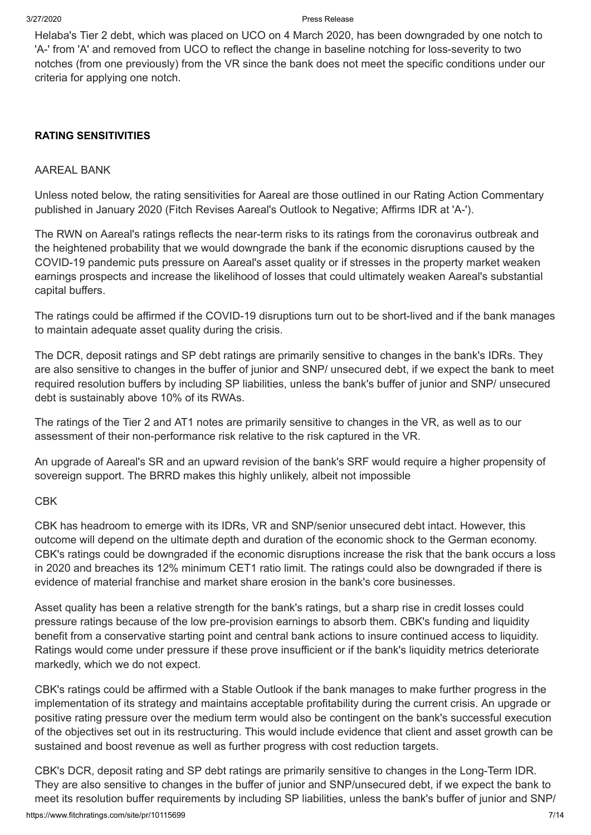Helaba's Tier 2 debt, which was placed on UCO on 4 March 2020, has been downgraded by one notch to 'A-' from 'A' and removed from UCO to reflect the change in baseline notching for loss-severity to two notches (from one previously) from the VR since the bank does not meet the specific conditions under our criteria for applying one notch.

#### **RATING SENSITIVITIES**

#### AAREAL BANK

Unless noted below, the rating sensitivities for Aareal are those outlined in our Rating Action Commentary published in January 2020 (Fitch Revises Aareal's Outlook to Negative; Affirms IDR at 'A-').

The RWN on Aareal's ratings reflects the near-term risks to its ratings from the coronavirus outbreak and the heightened probability that we would downgrade the bank if the economic disruptions caused by the COVID-19 pandemic puts pressure on Aareal's asset quality or if stresses in the property market weaken earnings prospects and increase the likelihood of losses that could ultimately weaken Aareal's substantial capital buffers.

The ratings could be affirmed if the COVID-19 disruptions turn out to be short-lived and if the bank manages to maintain adequate asset quality during the crisis.

The DCR, deposit ratings and SP debt ratings are primarily sensitive to changes in the bank's IDRs. They are also sensitive to changes in the buffer of junior and SNP/ unsecured debt, if we expect the bank to meet required resolution buffers by including SP liabilities, unless the bank's buffer of junior and SNP/ unsecured debt is sustainably above 10% of its RWAs.

The ratings of the Tier 2 and AT1 notes are primarily sensitive to changes in the VR, as well as to our assessment of their non-performance risk relative to the risk captured in the VR.

An upgrade of Aareal's SR and an upward revision of the bank's SRF would require a higher propensity of sovereign support. The BRRD makes this highly unlikely, albeit not impossible

#### CBK

CBK has headroom to emerge with its IDRs, VR and SNP/senior unsecured debt intact. However, this outcome will depend on the ultimate depth and duration of the economic shock to the German economy. CBK's ratings could be downgraded if the economic disruptions increase the risk that the bank occurs a loss in 2020 and breaches its 12% minimum CET1 ratio limit. The ratings could also be downgraded if there is evidence of material franchise and market share erosion in the bank's core businesses.

Asset quality has been a relative strength for the bank's ratings, but a sharp rise in credit losses could pressure ratings because of the low pre-provision earnings to absorb them. CBK's funding and liquidity benefit from a conservative starting point and central bank actions to insure continued access to liquidity. Ratings would come under pressure if these prove insufficient or if the bank's liquidity metrics deteriorate markedly, which we do not expect.

CBK's ratings could be affirmed with a Stable Outlook if the bank manages to make further progress in the implementation of its strategy and maintains acceptable profitability during the current crisis. An upgrade or positive rating pressure over the medium term would also be contingent on the bank's successful execution of the objectives set out in its restructuring. This would include evidence that client and asset growth can be sustained and boost revenue as well as further progress with cost reduction targets.

https://www.fitchratings.com/site/pr/10115699 CBK's DCR, deposit rating and SP debt ratings are primarily sensitive to changes in the Long-Term IDR. They are also sensitive to changes in the buffer of junior and SNP/unsecured debt, if we expect the bank to meet its resolution buffer requirements by including SP liabilities, unless the bank's buffer of junior and SNP/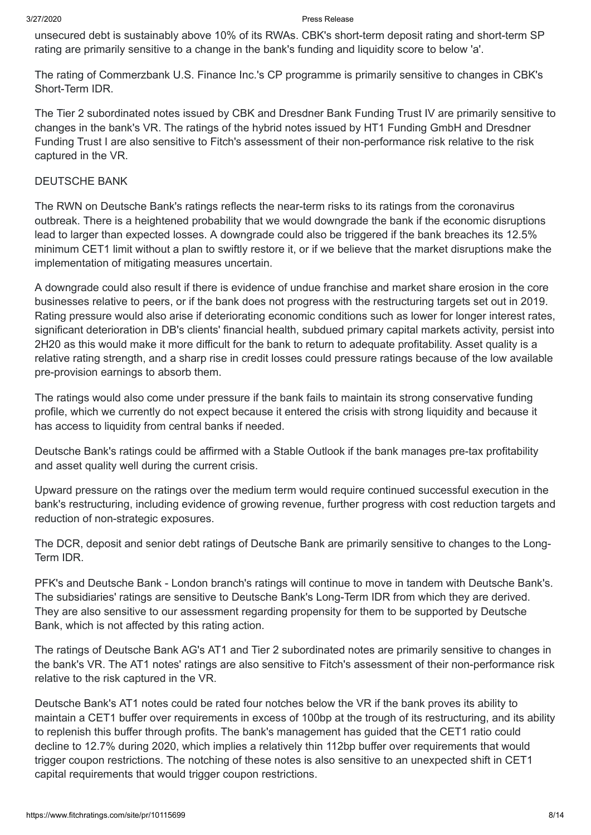unsecured debt is sustainably above 10% of its RWAs. CBK's short-term deposit rating and short-term SP rating are primarily sensitive to a change in the bank's funding and liquidity score to below 'a'.

The rating of Commerzbank U.S. Finance Inc.'s CP programme is primarily sensitive to changes in CBK's Short-Term IDR.

The Tier 2 subordinated notes issued by CBK and Dresdner Bank Funding Trust IV are primarily sensitive to changes in the bank's VR. The ratings of the hybrid notes issued by HT1 Funding GmbH and Dresdner Funding Trust I are also sensitive to Fitch's assessment of their non-performance risk relative to the risk captured in the VR.

#### DEUTSCHE BANK

The RWN on Deutsche Bank's ratings reflects the near-term risks to its ratings from the coronavirus outbreak. There is a heightened probability that we would downgrade the bank if the economic disruptions lead to larger than expected losses. A downgrade could also be triggered if the bank breaches its 12.5% minimum CET1 limit without a plan to swiftly restore it, or if we believe that the market disruptions make the implementation of mitigating measures uncertain.

A downgrade could also result if there is evidence of undue franchise and market share erosion in the core businesses relative to peers, or if the bank does not progress with the restructuring targets set out in 2019. Rating pressure would also arise if deteriorating economic conditions such as lower for longer interest rates, significant deterioration in DB's clients' financial health, subdued primary capital markets activity, persist into 2H20 as this would make it more difficult for the bank to return to adequate profitability. Asset quality is a relative rating strength, and a sharp rise in credit losses could pressure ratings because of the low available pre-provision earnings to absorb them.

The ratings would also come under pressure if the bank fails to maintain its strong conservative funding profile, which we currently do not expect because it entered the crisis with strong liquidity and because it has access to liquidity from central banks if needed.

Deutsche Bank's ratings could be affirmed with a Stable Outlook if the bank manages pre-tax profitability and asset quality well during the current crisis.

Upward pressure on the ratings over the medium term would require continued successful execution in the bank's restructuring, including evidence of growing revenue, further progress with cost reduction targets and reduction of non-strategic exposures.

The DCR, deposit and senior debt ratings of Deutsche Bank are primarily sensitive to changes to the Long-Term IDR.

PFK's and Deutsche Bank - London branch's ratings will continue to move in tandem with Deutsche Bank's. The subsidiaries' ratings are sensitive to Deutsche Bank's Long-Term IDR from which they are derived. They are also sensitive to our assessment regarding propensity for them to be supported by Deutsche Bank, which is not affected by this rating action.

The ratings of Deutsche Bank AG's AT1 and Tier 2 subordinated notes are primarily sensitive to changes in the bank's VR. The AT1 notes' ratings are also sensitive to Fitch's assessment of their non-performance risk relative to the risk captured in the VR.

Deutsche Bank's AT1 notes could be rated four notches below the VR if the bank proves its ability to maintain a CET1 buffer over requirements in excess of 100bp at the trough of its restructuring, and its ability to replenish this buffer through profits. The bank's management has guided that the CET1 ratio could decline to 12.7% during 2020, which implies a relatively thin 112bp buffer over requirements that would trigger coupon restrictions. The notching of these notes is also sensitive to an unexpected shift in CET1 capital requirements that would trigger coupon restrictions.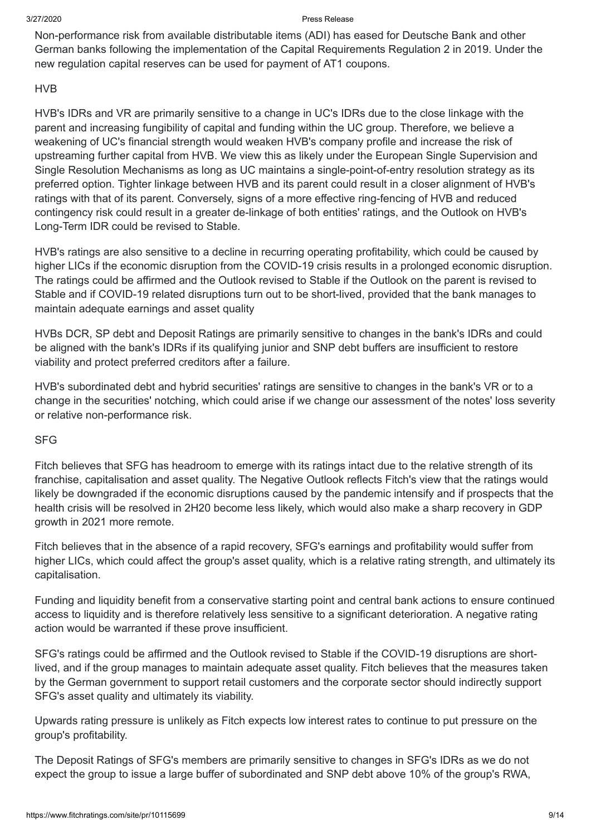Non-performance risk from available distributable items (ADI) has eased for Deutsche Bank and other German banks following the implementation of the Capital Requirements Regulation 2 in 2019. Under the new regulation capital reserves can be used for payment of AT1 coupons.

#### HVB

HVB's IDRs and VR are primarily sensitive to a change in UC's IDRs due to the close linkage with the parent and increasing fungibility of capital and funding within the UC group. Therefore, we believe a weakening of UC's financial strength would weaken HVB's company profile and increase the risk of upstreaming further capital from HVB. We view this as likely under the European Single Supervision and Single Resolution Mechanisms as long as UC maintains a single-point-of-entry resolution strategy as its preferred option. Tighter linkage between HVB and its parent could result in a closer alignment of HVB's ratings with that of its parent. Conversely, signs of a more effective ring-fencing of HVB and reduced contingency risk could result in a greater de-linkage of both entities' ratings, and the Outlook on HVB's Long-Term IDR could be revised to Stable.

HVB's ratings are also sensitive to a decline in recurring operating profitability, which could be caused by higher LICs if the economic disruption from the COVID-19 crisis results in a prolonged economic disruption. The ratings could be affirmed and the Outlook revised to Stable if the Outlook on the parent is revised to Stable and if COVID-19 related disruptions turn out to be short-lived, provided that the bank manages to maintain adequate earnings and asset quality

HVBs DCR, SP debt and Deposit Ratings are primarily sensitive to changes in the bank's IDRs and could be aligned with the bank's IDRs if its qualifying junior and SNP debt buffers are insufficient to restore viability and protect preferred creditors after a failure.

HVB's subordinated debt and hybrid securities' ratings are sensitive to changes in the bank's VR or to a change in the securities' notching, which could arise if we change our assessment of the notes' loss severity or relative non-performance risk.

#### SFG

Fitch believes that SFG has headroom to emerge with its ratings intact due to the relative strength of its franchise, capitalisation and asset quality. The Negative Outlook reflects Fitch's view that the ratings would likely be downgraded if the economic disruptions caused by the pandemic intensify and if prospects that the health crisis will be resolved in 2H20 become less likely, which would also make a sharp recovery in GDP growth in 2021 more remote.

Fitch believes that in the absence of a rapid recovery, SFG's earnings and profitability would suffer from higher LICs, which could affect the group's asset quality, which is a relative rating strength, and ultimately its capitalisation.

Funding and liquidity benefit from a conservative starting point and central bank actions to ensure continued access to liquidity and is therefore relatively less sensitive to a significant deterioration. A negative rating action would be warranted if these prove insufficient.

SFG's ratings could be affirmed and the Outlook revised to Stable if the COVID-19 disruptions are shortlived, and if the group manages to maintain adequate asset quality. Fitch believes that the measures taken by the German government to support retail customers and the corporate sector should indirectly support SFG's asset quality and ultimately its viability.

Upwards rating pressure is unlikely as Fitch expects low interest rates to continue to put pressure on the group's profitability.

The Deposit Ratings of SFG's members are primarily sensitive to changes in SFG's IDRs as we do not expect the group to issue a large buffer of subordinated and SNP debt above 10% of the group's RWA,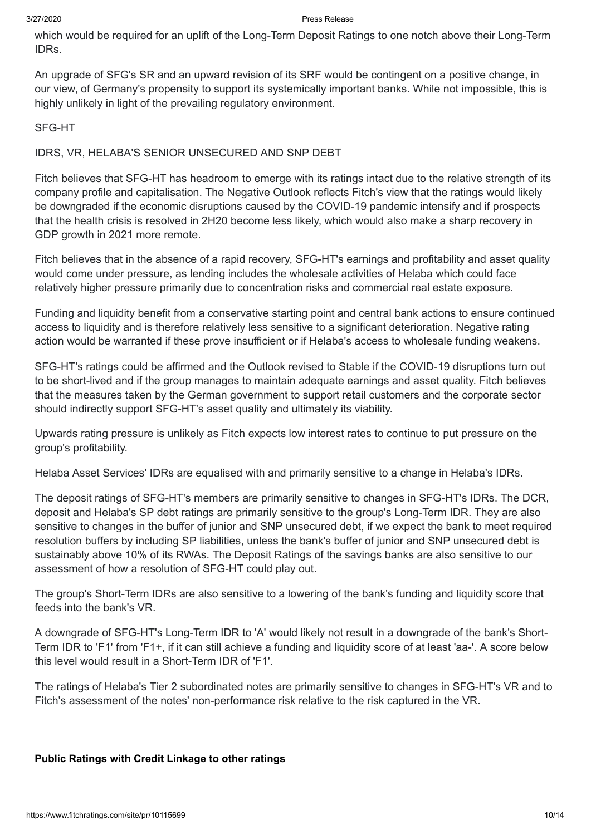which would be required for an uplift of the Long-Term Deposit Ratings to one notch above their Long-Term IDRs.

An upgrade of SFG's SR and an upward revision of its SRF would be contingent on a positive change, in our view, of Germany's propensity to support its systemically important banks. While not impossible, this is highly unlikely in light of the prevailing regulatory environment.

#### SFG-HT

#### IDRS, VR, HELABA'S SENIOR UNSECURED AND SNP DEBT

Fitch believes that SFG-HT has headroom to emerge with its ratings intact due to the relative strength of its company profile and capitalisation. The Negative Outlook reflects Fitch's view that the ratings would likely be downgraded if the economic disruptions caused by the COVID-19 pandemic intensify and if prospects that the health crisis is resolved in 2H20 become less likely, which would also make a sharp recovery in GDP growth in 2021 more remote.

Fitch believes that in the absence of a rapid recovery, SFG-HT's earnings and profitability and asset quality would come under pressure, as lending includes the wholesale activities of Helaba which could face relatively higher pressure primarily due to concentration risks and commercial real estate exposure.

Funding and liquidity benefit from a conservative starting point and central bank actions to ensure continued access to liquidity and is therefore relatively less sensitive to a significant deterioration. Negative rating action would be warranted if these prove insufficient or if Helaba's access to wholesale funding weakens.

SFG-HT's ratings could be affirmed and the Outlook revised to Stable if the COVID-19 disruptions turn out to be short-lived and if the group manages to maintain adequate earnings and asset quality. Fitch believes that the measures taken by the German government to support retail customers and the corporate sector should indirectly support SFG-HT's asset quality and ultimately its viability.

Upwards rating pressure is unlikely as Fitch expects low interest rates to continue to put pressure on the group's profitability.

Helaba Asset Services' IDRs are equalised with and primarily sensitive to a change in Helaba's IDRs.

The deposit ratings of SFG-HT's members are primarily sensitive to changes in SFG-HT's IDRs. The DCR, deposit and Helaba's SP debt ratings are primarily sensitive to the group's Long-Term IDR. They are also sensitive to changes in the buffer of junior and SNP unsecured debt, if we expect the bank to meet required resolution buffers by including SP liabilities, unless the bank's buffer of junior and SNP unsecured debt is sustainably above 10% of its RWAs. The Deposit Ratings of the savings banks are also sensitive to our assessment of how a resolution of SFG-HT could play out.

The group's Short-Term IDRs are also sensitive to a lowering of the bank's funding and liquidity score that feeds into the bank's VR.

A downgrade of SFG-HT's Long-Term IDR to 'A' would likely not result in a downgrade of the bank's Short-Term IDR to 'F1' from 'F1+, if it can still achieve a funding and liquidity score of at least 'aa-'. A score below this level would result in a Short-Term IDR of 'F1'.

The ratings of Helaba's Tier 2 subordinated notes are primarily sensitive to changes in SFG-HT's VR and to Fitch's assessment of the notes' non-performance risk relative to the risk captured in the VR.

#### **Public Ratings with Credit Linkage to other ratings**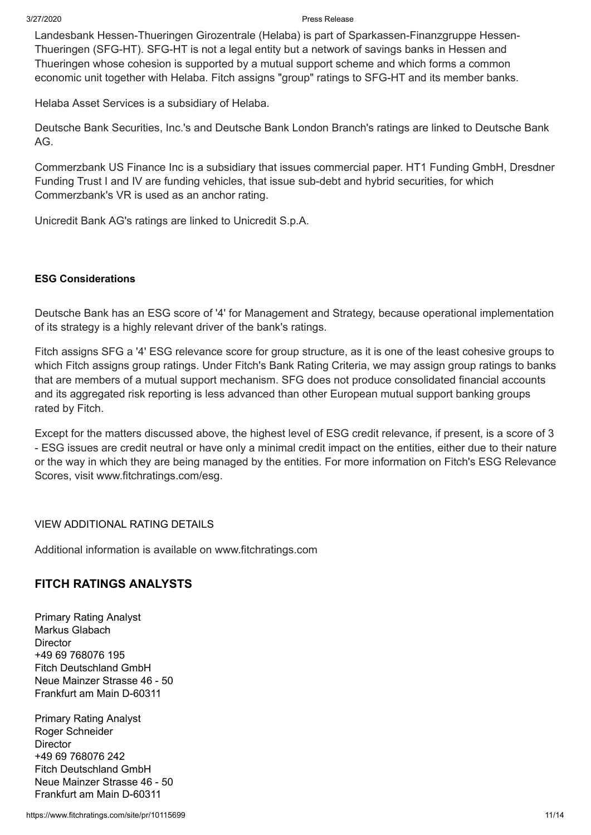Landesbank Hessen-Thueringen Girozentrale (Helaba) is part of Sparkassen-Finanzgruppe Hessen-Thueringen (SFG-HT). SFG-HT is not a legal entity but a network of savings banks in Hessen and Thueringen whose cohesion is supported by a mutual support scheme and which forms a common economic unit together with Helaba. Fitch assigns "group" ratings to SFG-HT and its member banks.

Helaba Asset Services is a subsidiary of Helaba.

Deutsche Bank Securities, Inc.'s and Deutsche Bank London Branch's ratings are linked to Deutsche Bank AG.

Commerzbank US Finance Inc is a subsidiary that issues commercial paper. HT1 Funding GmbH, Dresdner Funding Trust I and IV are funding vehicles, that issue sub-debt and hybrid securities, for which Commerzbank's VR is used as an anchor rating.

Unicredit Bank AG's ratings are linked to Unicredit S.p.A.

#### **ESG Considerations**

Deutsche Bank has an ESG score of '4' for Management and Strategy, because operational implementation of its strategy is a highly relevant driver of the bank's ratings.

Fitch assigns SFG a '4' ESG relevance score for group structure, as it is one of the least cohesive groups to which Fitch assigns group ratings. Under Fitch's Bank Rating Criteria, we may assign group ratings to banks that are members of a mutual support mechanism. SFG does not produce consolidated financial accounts and its aggregated risk reporting is less advanced than other European mutual support banking groups rated by Fitch.

Except for the matters discussed above, the highest level of ESG credit relevance, if present, is a score of 3 - ESG issues are credit neutral or have only a minimal credit impact on the entities, either due to their nature or the way in which they are being managed by the entities. For more information on Fitch's ESG Relevance Scores, visit [www.fitchratings.com/esg](https://www.fitchratings.com/esg).

VIEW ADDITIONAL RATING DETAILS

Additional information is available on www.fitchratings.com

### **FITCH RATINGS ANALYSTS**

Primary Rating Analyst Markus Glabach **Director** +49 69 768076 195 Fitch Deutschland GmbH Neue Mainzer Strasse 46 - 50 Frankfurt am Main D-60311

Primary Rating Analyst Roger Schneider **Director** +49 69 768076 242 Fitch Deutschland GmbH Neue Mainzer Strasse 46 - 50 Frankfurt am Main D-60311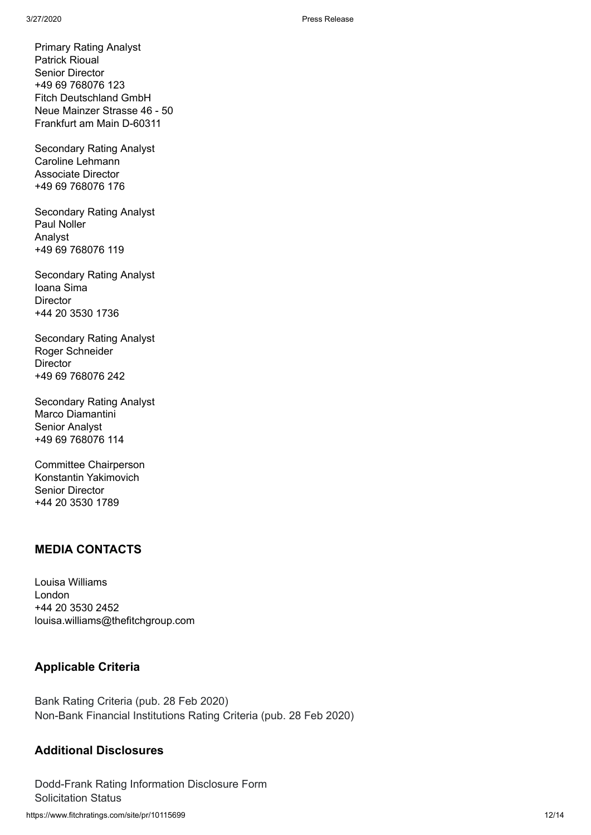Primary Rating Analyst Patrick Rioual Senior Director +49 69 768076 123 Fitch Deutschland GmbH Neue Mainzer Strasse 46 - 50 Frankfurt am Main D-60311

Secondary Rating Analyst Caroline Lehmann Associate Director +49 69 768076 176

Secondary Rating Analyst Paul Noller Analyst +49 69 768076 119

Secondary Rating Analyst Ioana Sima **Director** +44 20 3530 1736

Secondary Rating Analyst Roger Schneider **Director** +49 69 768076 242

Secondary Rating Analyst Marco Diamantini Senior Analyst +49 69 768076 114

Committee Chairperson Konstantin Yakimovich Senior Director +44 20 3530 1789

### **MEDIA CONTACTS**

Louisa Williams London +44 20 3530 2452 louisa.williams@thefitchgroup.com

### **Applicable Criteria**

Bank Rating [Criteria](https://www.fitchratings.com/site/re/10110041) (pub. 28 Feb 2020) Non-Bank Financial [Institutions](https://www.fitchratings.com/site/re/10110170) Rating Criteria (pub. 28 Feb 2020)

### **Additional Disclosures**

https://www.fitchratings.com/site/pr/10115699 12/14 [Dodd-Frank](https://www.fitchratings.com/site/dodd-frank-disclosure/10115699) Rating Information Disclosure Form Solicitation Status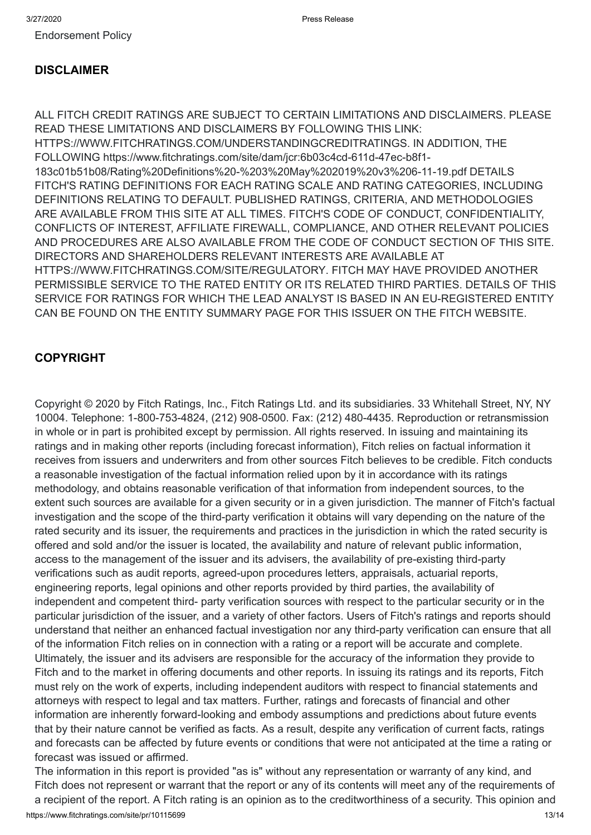[Endorsement](https://www.fitchratings.com/site/regulatory) Policy

#### **DISCLAIMER**

ALL FITCH CREDIT RATINGS ARE SUBJECT TO CERTAIN LIMITATIONS AND DISCLAIMERS. PLEASE READ THESE LIMITATIONS AND DISCLAIMERS BY FOLLOWING THIS LINK: [HTTPS://WWW.FITCHRATINGS.COM/UNDERSTANDINGCREDITRATINGS](https://www.fitchratings.com/UNDERSTANDINGCREDITRATINGS). IN ADDITION, THE FOLLOWING https://www.fitchratings.com/site/dam/jcr:6b03c4cd-611d-47ec-b8f1- 183c01b51b08/Rating%20Definitions%20-%203%20May%202019%20v3%206-11-19.pdf DETAILS FITCH'S RATING DEFINITIONS FOR EACH RATING SCALE AND RATING CATEGORIES, INCLUDING DEFINITIONS RELATING TO DEFAULT. PUBLISHED RATINGS, CRITERIA, AND METHODOLOGIES ARE AVAILABLE FROM THIS SITE AT ALL TIMES. FITCH'S CODE OF CONDUCT, CONFIDENTIALITY, CONFLICTS OF INTEREST, AFFILIATE FIREWALL, COMPLIANCE, AND OTHER RELEVANT POLICIES AND PROCEDURES ARE ALSO AVAILABLE FROM THE CODE OF CONDUCT SECTION OF THIS SITE. DIRECTORS AND SHAREHOLDERS RELEVANT INTERESTS ARE AVAILABLE AT [HTTPS://WWW.FITCHRATINGS.COM/SITE/REGULATORY](https://www.fitchratings.com/site/regulatory). FITCH MAY HAVE PROVIDED ANOTHER PERMISSIBLE SERVICE TO THE RATED ENTITY OR ITS RELATED THIRD PARTIES. DETAILS OF THIS SERVICE FOR RATINGS FOR WHICH THE LEAD ANALYST IS BASED IN AN EU-REGISTERED ENTITY CAN BE FOUND ON THE ENTITY SUMMARY PAGE FOR THIS ISSUER ON THE FITCH WEBSITE.

#### **COPYRIGHT**

Copyright © 2020 by Fitch Ratings, Inc., Fitch Ratings Ltd. and its subsidiaries. 33 Whitehall Street, NY, NY 10004. Telephone: 1-800-753-4824, (212) 908-0500. Fax: (212) 480-4435. Reproduction or retransmission in whole or in part is prohibited except by permission. All rights reserved. In issuing and maintaining its ratings and in making other reports (including forecast information), Fitch relies on factual information it receives from issuers and underwriters and from other sources Fitch believes to be credible. Fitch conducts a reasonable investigation of the factual information relied upon by it in accordance with its ratings methodology, and obtains reasonable verification of that information from independent sources, to the extent such sources are available for a given security or in a given jurisdiction. The manner of Fitch's factual investigation and the scope of the third-party verification it obtains will vary depending on the nature of the rated security and its issuer, the requirements and practices in the jurisdiction in which the rated security is offered and sold and/or the issuer is located, the availability and nature of relevant public information, access to the management of the issuer and its advisers, the availability of pre-existing third-party verifications such as audit reports, agreed-upon procedures letters, appraisals, actuarial reports, engineering reports, legal opinions and other reports provided by third parties, the availability of independent and competent third- party verification sources with respect to the particular security or in the particular jurisdiction of the issuer, and a variety of other factors. Users of Fitch's ratings and reports should understand that neither an enhanced factual investigation nor any third-party verification can ensure that all of the information Fitch relies on in connection with a rating or a report will be accurate and complete. Ultimately, the issuer and its advisers are responsible for the accuracy of the information they provide to Fitch and to the market in offering documents and other reports. In issuing its ratings and its reports, Fitch must rely on the work of experts, including independent auditors with respect to financial statements and attorneys with respect to legal and tax matters. Further, ratings and forecasts of financial and other information are inherently forward-looking and embody assumptions and predictions about future events that by their nature cannot be verified as facts. As a result, despite any verification of current facts, ratings and forecasts can be affected by future events or conditions that were not anticipated at the time a rating or forecast was issued or affirmed.

https://www.fitchratings.com/site/pr/10115699 13/14 The information in this report is provided "as is" without any representation or warranty of any kind, and Fitch does not represent or warrant that the report or any of its contents will meet any of the requirements of a recipient of the report. A Fitch rating is an opinion as to the creditworthiness of a security. This opinion and